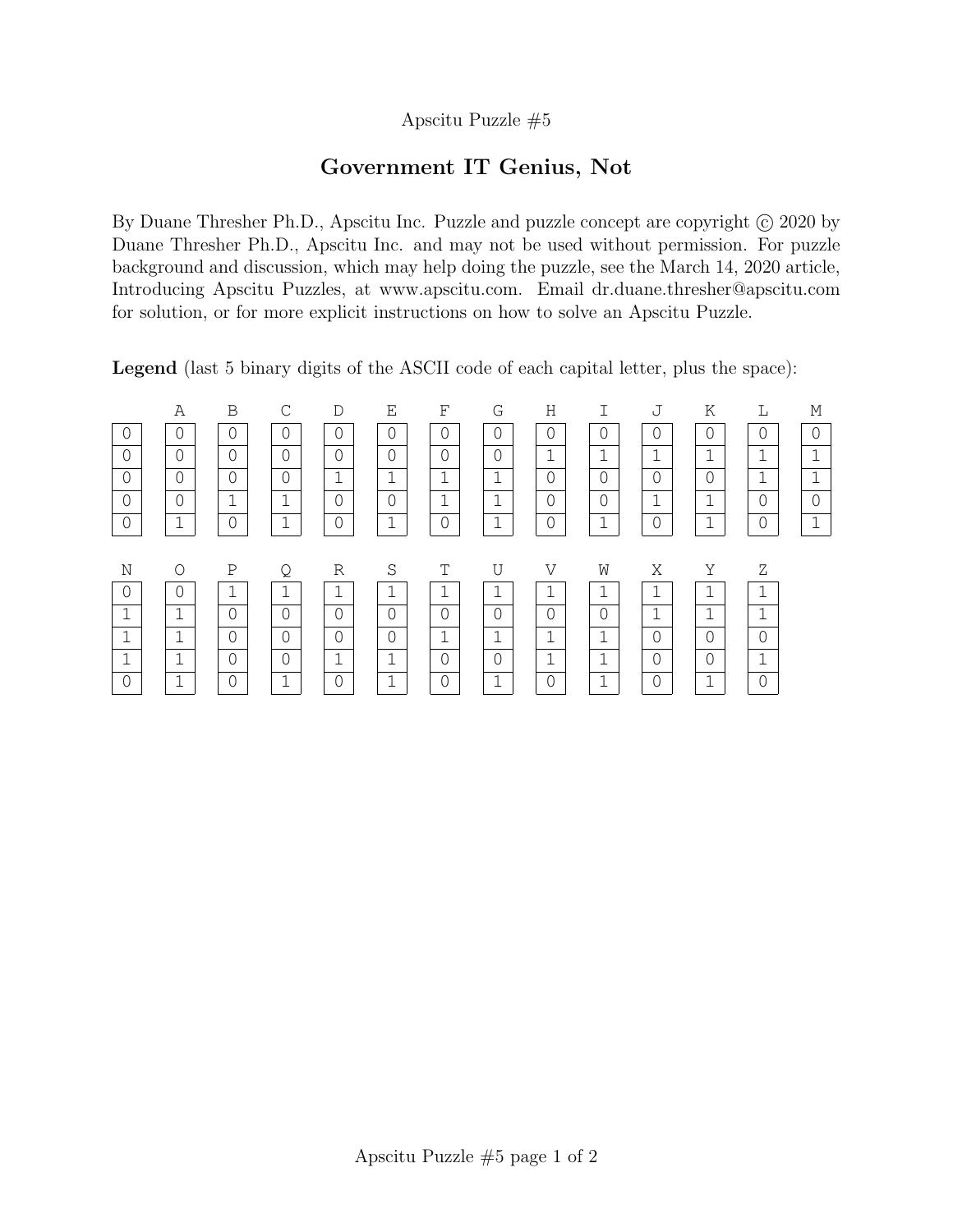## Apscitu Puzzle #5

## Government IT Genius, Not

By Duane Thresher Ph.D., Apscitu Inc. Puzzle and puzzle concept are copyright  $\odot$  2020 by Duane Thresher Ph.D., Apscitu Inc. and may not be used without permission. For puzzle background and discussion, which may help doing the puzzle, see the March 14, 2020 article, Introducing Apscitu Puzzles, at www.apscitu.com. Email dr.duane.thresher@apscitu.com for solution, or for more explicit instructions on how to solve an Apscitu Puzzle.

Legend (last 5 binary digits of the ASCII code of each capital letter, plus the space):

|                | Α              | B              | C              | D              | Ε              | F              | G              | H              |                | J              | Κ              | L              | М              |
|----------------|----------------|----------------|----------------|----------------|----------------|----------------|----------------|----------------|----------------|----------------|----------------|----------------|----------------|
| $\overline{0}$ | $\Omega$       | $\Omega$       | $\Omega$       | $\bigcap$      | $\overline{0}$ | $\Omega$       | $\overline{0}$ | $\overline{0}$ | $\Omega$       | $\overline{0}$ | $\sqrt{a}$     | $\overline{0}$ | $\Omega$       |
| $\circ$        | $\overline{0}$ | $\overline{0}$ | $\overline{0}$ | $\overline{0}$ | $\overline{0}$ | $\overline{0}$ | $\overline{0}$ | $\mathbf{1}$   | $\mathbf 1$    | $\mathbf{1}$   | 1<br>⊥.        | 1<br>⊥         | 1              |
| $\circ$        | $\overline{0}$ | $\overline{0}$ | $\overline{0}$ | $\mathbf{1}$   | $\mathbf 1$    | $\mathbf{1}$   | 1              | $\Omega$       | $\mathbf 0$    | $\overline{0}$ | $\overline{0}$ | 1              | 1              |
| $\overline{0}$ | $\overline{O}$ | $\mathbf 1$    | $\mathbf 1$    | $\overline{0}$ | $\overline{0}$ | $\mathbf{1}$   | $\mathbf 1$    | $\overline{0}$ | $\overline{0}$ | $\mathbf{1}$   | $\mathbf 1$    | $\overline{0}$ | $\overline{0}$ |
| $\circledcirc$ | $\mathbf 1$    | $\overline{0}$ | $\mathbf{1}$   | $\overline{0}$ | $\mathbf 1$    | $\overline{0}$ | 1              | $\overline{0}$ | $\mathbf 1$    | $\overline{0}$ | 1              | $\overline{0}$ | $\mathbf 1$    |
|                |                |                |                |                |                |                |                |                |                |                |                |                |                |
| N              | $\circ$        | Ρ              | Q              | R              | S              | T              | U              | V              | W              | Χ              | Υ              | Ζ              |                |
| $\overline{0}$ | $\overline{0}$ | 1              | $\mathbf 1$    | $\mathbf 1$    | 1              |                | 1              | 1              | 1              | $\mathbf 1$    | ⊥.             | 1              |                |
| $\mathbf 1$    | $\mathbf 1$    | $\overline{0}$ | $\overline{0}$ | $\overline{0}$ | $\overline{0}$ | $\overline{0}$ | $\overline{0}$ | $\overline{0}$ | $\overline{0}$ | $\mathbf{1}$   | $\mathbf 1$    | 1              |                |
|                |                |                |                |                |                |                |                |                |                |                |                |                |                |
| $\mathbf 1$    | $\mathbf 1$    | $\overline{0}$ | $\overline{0}$ | $\overline{0}$ | $\overline{0}$ | $\mathbf{1}$   | $\mathbf 1$    | $\mathbf{1}$   | $\mathbf 1$    | $\mathbf 0$    | $\overline{0}$ | 0              |                |
| $\mathbf 1$    | 1<br>⊥         | $\overline{0}$ | $\Omega$       | $\mathbf{1}$   | 1              | $\overline{0}$ | $\overline{0}$ | 1              | $\mathbf 1$    | $\overline{0}$ | $\overline{0}$ | 1<br>⊥         |                |